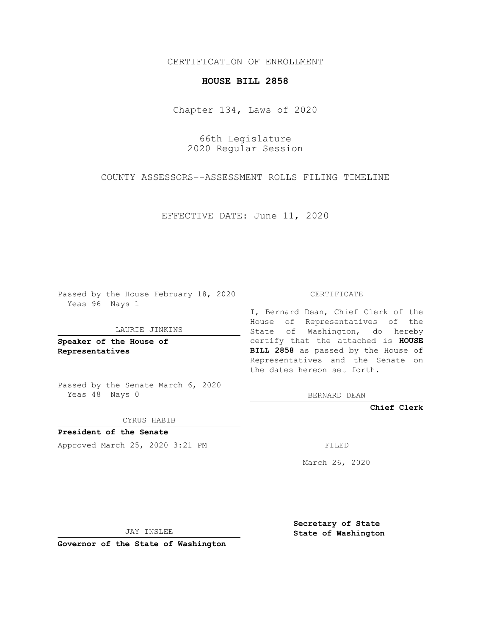CERTIFICATION OF ENROLLMENT

## **HOUSE BILL 2858**

Chapter 134, Laws of 2020

66th Legislature 2020 Regular Session

COUNTY ASSESSORS--ASSESSMENT ROLLS FILING TIMELINE

EFFECTIVE DATE: June 11, 2020

Passed by the House February 18, 2020 Yeas 96 Nays 1

LAURIE JINKINS

**Speaker of the House of Representatives**

Passed by the Senate March 6, 2020 Yeas 48 Nays 0

CYRUS HABIB

**President of the Senate** Approved March 25, 2020 3:21 PM FILED

CERTIFICATE

I, Bernard Dean, Chief Clerk of the House of Representatives of the State of Washington, do hereby certify that the attached is **HOUSE BILL 2858** as passed by the House of Representatives and the Senate on the dates hereon set forth.

BERNARD DEAN

**Chief Clerk**

March 26, 2020

JAY INSLEE

**Governor of the State of Washington**

**Secretary of State State of Washington**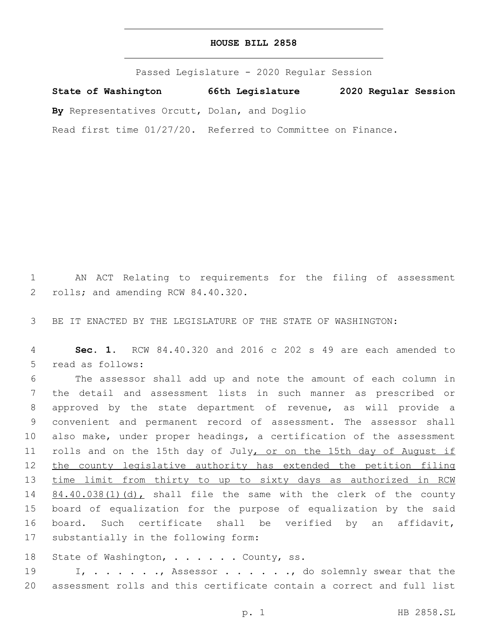| HOUSE BILL 2858 |  |  |
|-----------------|--|--|
|-----------------|--|--|

Passed Legislature - 2020 Regular Session

**State of Washington 66th Legislature 2020 Regular Session**

**By** Representatives Orcutt, Dolan, and Doglio

Read first time 01/27/20. Referred to Committee on Finance.

1 AN ACT Relating to requirements for the filing of assessment 2 rolls; and amending RCW 84.40.320.

3 BE IT ENACTED BY THE LEGISLATURE OF THE STATE OF WASHINGTON:

4 **Sec. 1.** RCW 84.40.320 and 2016 c 202 s 49 are each amended to 5 read as follows:

6 The assessor shall add up and note the amount of each column in 7 the detail and assessment lists in such manner as prescribed or 8 approved by the state department of revenue, as will provide a 9 convenient and permanent record of assessment. The assessor shall 10 also make, under proper headings, a certification of the assessment 11 rolls and on the 15th day of July, or on the 15th day of August if 12 the county legislative authority has extended the petition filing 13 time limit from thirty to up to sixty days as authorized in RCW 14 84.40.038(1)(d), shall file the same with the clerk of the county 15 board of equalization for the purpose of equalization by the said 16 board. Such certificate shall be verified by an affidavit, 17 substantially in the following form:

18 State of Washington, . . . . . County, ss.

19 I, . . . . ., Assessor . . . . ., do solemnly swear that the 20 assessment rolls and this certificate contain a correct and full list